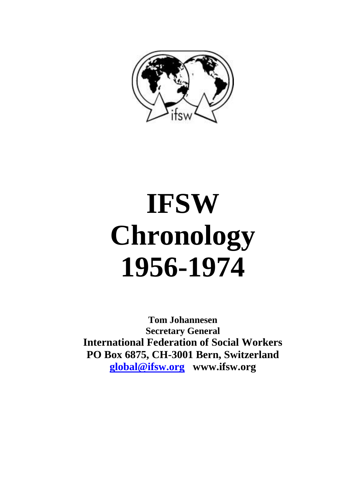

# **IFSW Chronology 1956-1974**

**Tom Johannesen Secretary General International Federation of Social Workers PO Box 6875, CH-3001 Bern, Switzerland [global@ifsw.org](mailto:global@ifsw.org) www.ifsw.org**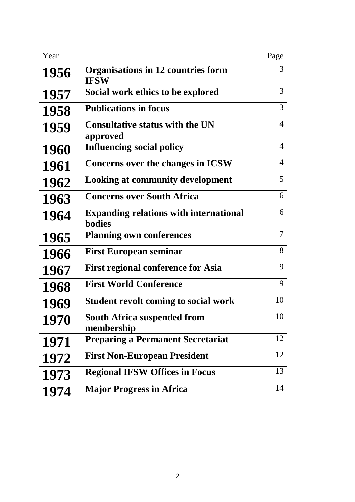| Year        |                                                                | Page           |
|-------------|----------------------------------------------------------------|----------------|
| 1956        | Organisations in 12 countries form<br><b>IFSW</b>              | 3              |
| 1957        | Social work ethics to be explored                              | 3              |
| 1958        | <b>Publications in focus</b>                                   | $\overline{3}$ |
| 1959        | <b>Consultative status with the UN</b><br>approved             | $\overline{4}$ |
| <b>1960</b> | <b>Influencing social policy</b>                               | $\overline{4}$ |
| 1961        | Concerns over the changes in ICSW                              | $\overline{4}$ |
| 1962        | <b>Looking at community development</b>                        | 5              |
| 1963        | <b>Concerns over South Africa</b>                              | 6              |
| 1964        | <b>Expanding relations with international</b><br><b>bodies</b> | 6              |
| 1965        | <b>Planning own conferences</b>                                | $\overline{7}$ |
| 1966        | <b>First European seminar</b>                                  | 8              |
| 1967        | <b>First regional conference for Asia</b>                      | 9              |
| 1968        | <b>First World Conference</b>                                  | 9              |
| 1969        | <b>Student revolt coming to social work</b>                    | 10             |
| 1970        | <b>South Africa suspended from</b><br>membership               | 10             |
| 1971        | <b>Preparing a Permanent Secretariat</b>                       | 12             |
| 1972        | <b>First Non-European President</b>                            | 12             |
| 1973        | <b>Regional IFSW Offices in Focus</b>                          | 13             |
| 1974        | <b>Major Progress in Africa</b>                                | 14             |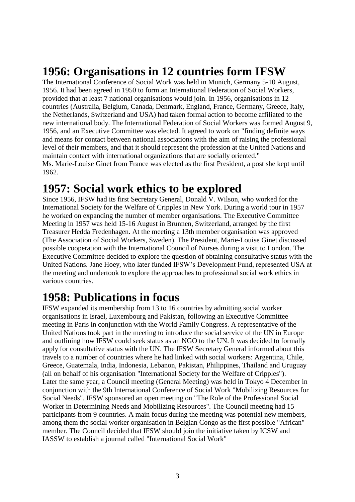# **1956: Organisations in 12 countries form IFSW**

The International Conference of Social Work was held in Munich, Germany 5-10 August, 1956. It had been agreed in 1950 to form an International Federation of Social Workers, provided that at least 7 national organisations would join. In 1956, organisations in 12 countries (Australia, Belgium, Canada, Denmark, England, France, Germany, Greece, Italy, the Netherlands, Switzerland and USA) had taken formal action to become affiliated to the new international body. The International Federation of Social Workers was formed August 9, 1956, and an Executive Committee was elected. It agreed to work on "finding definite ways and means for contact between national associations with the aim of raising the professional level of their members, and that it should represent the profession at the United Nations and maintain contact with international organizations that are socially oriented." Ms. Marie-Louise Ginet from France was elected as the first President, a post she kept until 1962.

#### **1957: Social work ethics to be explored**

Since 1956, IFSW had its first Secretary General, Donald  $\overline{V}$ . Wilson, who worked for the International Society for the Welfare of Cripples in New York. During a world tour in 1957 he worked on expanding the number of member organisations. The Executive Committee Meeting in 1957 was held 15-16 August in Brunnen, Switzerland, arranged by the first Treasurer Hedda Fredenhagen. At the meeting a 13th member organisation was approved (The Association of Social Workers, Sweden). The President, Marie-Louise Ginet discussed possible cooperation with the International Council of Nurses during a visit to London. The Executive Committee decided to explore the question of obtaining consultative status with the United Nations. Jane Hoey, who later funded IFSW's Development Fund, represented USA at the meeting and undertook to explore the approaches to professional social work ethics in various countries.

# **1958: Publications in focus**

IFSW expanded its membership from 13 to 16 countries by admitting social worker organisations in Israel, Luxembourg and Pakistan, following an Executive Committee meeting in Paris in conjunction with the World Family Congress. A representative of the United Nations took part in the meeting to introduce the social service of the UN in Europe and outlining how IFSW could seek status as an NGO to the UN. It was decided to formally apply for consultative status with the UN. The IFSW Secretary General informed about this travels to a number of countries where he had linked with social workers: Argentina, Chile, Greece, Guatemala, India, Indonesia, Lebanon, Pakistan, Philippines, Thailand and Uruguay (all on behalf of his organisation "International Society for the Welfare of Cripples"). Later the same year, a Council meeting (General Meeting) was held in Tokyo 4 December in conjunction with the 9th International Conference of Social Work "Mobilizing Resources for Social Needs". IFSW sponsored an open meeting on "The Role of the Professional Social Worker in Determining Needs and Mobilizing Resources". The Council meeting had 15 participants from 9 countries. A main focus during the meeting was potential new members, among them the social worker organisation in Belgian Congo as the first possible "African" member. The Council decided that IFSW should join the initiative taken by ICSW and IASSW to establish a journal called "International Social Work"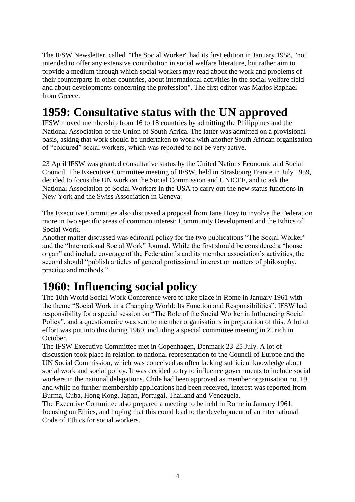The IFSW Newsletter, called "The Social Worker" had its first edition in January 1958, "not intended to offer any extensive contribution in social welfare literature, but rather aim to provide a medium through which social workers may read about the work and problems of their counterparts in other countries, about international activities in the social welfare field and about developments concerning the profession". The first editor was Marios Raphael from Greece.

# **1959: Consultative status with the UN approved**

IFSW moved membership from 16 to 18 countries by admitting the Philippines and the National Association of the Union of South Africa. The latter was admitted on a provisional basis, asking that work should be undertaken to work with another South African organisation of "coloured" social workers, which was reported to not be very active.

23 April IFSW was granted consultative status by the United Nations Economic and Social Council. The Executive Committee meeting of IFSW, held in Strasbourg France in July 1959, decided to focus the UN work on the Social Commission and UNICEF, and to ask the National Association of Social Workers in the USA to carry out the new status functions in New York and the Swiss Association in Geneva.

The Executive Committee also discussed a proposal from Jane Hoey to involve the Federation more in two specific areas of common interest: Community Development and the Ethics of Social Work.

Another matter discussed was editorial policy for the two publications "The Social Worker' and the "International Social Work" Journal. While the first should be considered a "house organ" and include coverage of the Federation's and its member association's activities, the second should "publish articles of general professional interest on matters of philosophy, practice and methods."

# **1960: Influencing social policy**

The 10th World Social Work Conference were to take place in Rome in January 1961 with the theme "Social Work in a Changing World: Its Function and Responsibilities". IFSW had responsibility for a special session on "The Role of the Social Worker in Influencing Social Policy", and a questionnaire was sent to member organisations in preparation of this. A lot of effort was put into this during 1960, including a special committee meeting in Zurich in October.

The IFSW Executive Committee met in Copenhagen, Denmark 23-25 July. A lot of discussion took place in relation to national representation to the Council of Europe and the UN Social Commission, which was conceived as often lacking sufficient knowledge about social work and social policy. It was decided to try to influence governments to include social workers in the national delegations. Chile had been approved as member organisation no. 19, and while no further membership applications had been received, interest was reported from Burma, Cuba, Hong Kong, Japan, Portugal, Thailand and Venezuela.

The Executive Committee also prepared a meeting to be held in Rome in January 1961, focusing on Ethics, and hoping that this could lead to the development of an international Code of Ethics for social workers.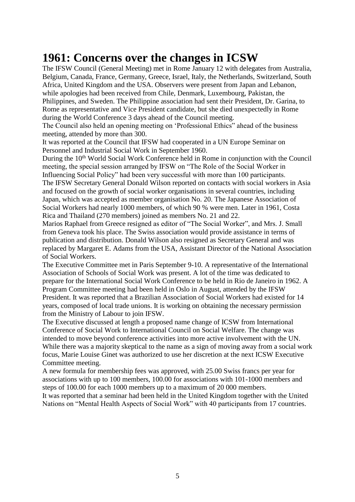# **1961: Concerns over the changes in ICSW**

The IFSW Council (General Meeting) met in Rome January 12 with delegates from Australia, Belgium, Canada, France, Germany, Greece, Israel, Italy, the Netherlands, Switzerland, South Africa, United Kingdom and the USA. Observers were present from Japan and Lebanon, while apologies had been received from Chile, Denmark, Luxembourg, Pakistan, the Philippines, and Sweden. The Philippine association had sent their President, Dr. Garina, to Rome as representative and Vice President candidate, but she died unexpectedly in Rome during the World Conference 3 days ahead of the Council meeting.

The Council also held an opening meeting on 'Professional Ethics" ahead of the business meeting, attended by more than 300.

It was reported at the Council that IFSW had cooperated in a UN Europe Seminar on Personnel and Industrial Social Work in September 1960.

During the 10<sup>th</sup> World Social Work Conference held in Rome in conjunction with the Council meeting, the special session arranged by IFSW on "The Role of the Social Worker in Influencing Social Policy" had been very successful with more than 100 participants. The IFSW Secretary General Donald Wilson reported on contacts with social workers in Asia and focused on the growth of social worker organisations in several countries, including

Japan, which was accepted as member organisation No. 20. The Japanese Association of Social Workers had nearly 1000 members, of which 90 % were men. Later in 1961, Costa Rica and Thailand (270 members) joined as members No. 21 and 22.

Marios Raphael from Greece resigned as editor of "The Social Worker", and Mrs. J. Small from Geneva took his place. The Swiss association would provide assistance in terms of publication and distribution. Donald Wilson also resigned as Secretary General and was replaced by Margaret E. Adams from the USA, Assistant Director of the National Association of Social Workers.

The Executive Committee met in Paris September 9-10. A representative of the International Association of Schools of Social Work was present. A lot of the time was dedicated to prepare for the International Social Work Conference to be held in Rio de Janeiro in 1962. A Program Committee meeting had been held in Oslo in August, attended by the IFSW President. It was reported that a Brazilian Association of Social Workers had existed for 14 years, composed of local trade unions. It is working on obtaining the necessary permission from the Ministry of Labour to join IFSW.

The Executive discussed at length a proposed name change of ICSW from International Conference of Social Work to International Council on Social Welfare. The change was intended to move beyond conference activities into more active involvement with the UN. While there was a majority skeptical to the name as a sign of moving away from a social work focus, Marie Louise Ginet was authorized to use her discretion at the next ICSW Executive Committee meeting.

A new formula for membership fees was approved, with 25.00 Swiss francs per year for associations with up to 100 members, 100.00 for associations with 101-1000 members and steps of 100.00 for each 1000 members up to a maximum of 20 000 members.

It was reported that a seminar had been held in the United Kingdom together with the United Nations on "Mental Health Aspects of Social Work" with 40 participants from 17 countries.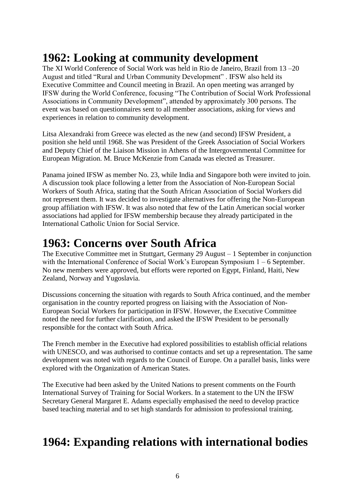# **1962: Looking at community development**

The XI World Conference of Social Work was held in Rio de Janeiro, Brazil from 13 –20 August and titled "Rural and Urban Community Development" . IFSW also held its Executive Committee and Council meeting in Brazil. An open meeting was arranged by IFSW during the World Conference, focusing "The Contribution of Social Work Professional Associations in Community Development", attended by approximately 300 persons. The event was based on questionnaires sent to all member associations, asking for views and experiences in relation to community development.

Litsa Alexandraki from Greece was elected as the new (and second) IFSW President, a position she held until 1968. She was President of the Greek Association of Social Workers and Deputy Chief of the Liaison Mission in Athens of the Intergovernmental Committee for European Migration. M. Bruce McKenzie from Canada was elected as Treasurer.

Panama joined IFSW as member No. 23, while India and Singapore both were invited to join. A discussion took place following a letter from the Association of Non-European Social Workers of South Africa, stating that the South African Association of Social Workers did not represent them. It was decided to investigate alternatives for offering the Non-European group affiliation with IFSW. It was also noted that few of the Latin American social worker associations had applied for IFSW membership because they already participated in the International Catholic Union for Social Service.

# **1963: Concerns over South Africa**

The Executive Committee met in Stuttgart, Germany 29 August – 1 September in conjunction with the International Conference of Social Work's European Symposium 1 – 6 September. No new members were approved, but efforts were reported on Egypt, Finland, Haiti, New Zealand, Norway and Yugoslavia.

Discussions concerning the situation with regards to South Africa continued, and the member organisation in the country reported progress on liaising with the Association of Non-European Social Workers for participation in IFSW. However, the Executive Committee noted the need for further clarification, and asked the IFSW President to be personally responsible for the contact with South Africa.

The French member in the Executive had explored possibilities to establish official relations with UNESCO, and was authorised to continue contacts and set up a representation. The same development was noted with regards to the Council of Europe. On a parallel basis, links were explored with the Organization of American States.

The Executive had been asked by the United Nations to present comments on the Fourth International Survey of Training for Social Workers. In a statement to the UN the IFSW Secretary General Margaret E. Adams especially emphasised the need to develop practice based teaching material and to set high standards for admission to professional training.

## **1964: Expanding relations with international bodies**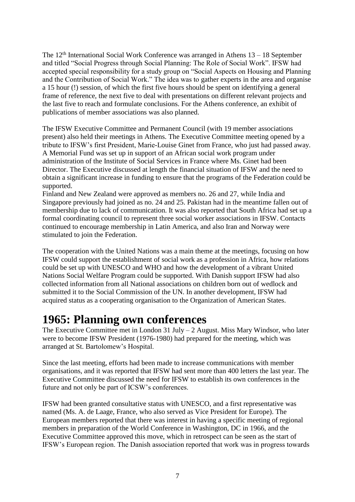The  $12<sup>th</sup>$  International Social Work Conference was arranged in Athens  $13 - 18$  September and titled "Social Progress through Social Planning: The Role of Social Work". IFSW had accepted special responsibility for a study group on "Social Aspects on Housing and Planning and the Contribution of Social Work." The idea was to gather experts in the area and organise a 15 hour (!) session, of which the first five hours should be spent on identifying a general frame of reference, the next five to deal with presentations on different relevant projects and the last five to reach and formulate conclusions. For the Athens conference, an exhibit of publications of member associations was also planned.

The IFSW Executive Committee and Permanent Council (with 19 member associations present) also held their meetings in Athens. The Executive Committee meeting opened by a tribute to IFSW's first President, Marie-Louise Ginet from France, who just had passed away. A Memorial Fund was set up in support of an African social work program under administration of the Institute of Social Services in France where Ms. Ginet had been Director. The Executive discussed at length the financial situation of IFSW and the need to obtain a significant increase in funding to ensure that the programs of the Federation could be supported.

Finland and New Zealand were approved as members no. 26 and 27, while India and Singapore previously had joined as no. 24 and 25. Pakistan had in the meantime fallen out of membership due to lack of communication. It was also reported that South Africa had set up a formal coordinating council to represent three social worker associations in IFSW. Contacts continued to encourage membership in Latin America, and also Iran and Norway were stimulated to join the Federation.

The cooperation with the United Nations was a main theme at the meetings, focusing on how IFSW could support the establishment of social work as a profession in Africa, how relations could be set up with UNESCO and WHO and how the development of a vibrant United Nations Social Welfare Program could be supported. With Danish support IFSW had also collected information from all National associations on children born out of wedlock and submitted it to the Social Commission of the UN. In another development, IFSW had acquired status as a cooperating organisation to the Organization of American States.

## **1965: Planning own conferences**

The Executive Committee met in London 31 July  $-2$  August. Miss Mary Windsor, who later were to become IFSW President (1976-1980) had prepared for the meeting, which was arranged at St. Bartolomew's Hospital.

Since the last meeting, efforts had been made to increase communications with member organisations, and it was reported that IFSW had sent more than 400 letters the last year. The Executive Committee discussed the need for IFSW to establish its own conferences in the future and not only be part of ICSW's conferences.

IFSW had been granted consultative status with UNESCO, and a first representative was named (Ms. A. de Laage, France, who also served as Vice President for Europe). The European members reported that there was interest in having a specific meeting of regional members in preparation of the World Conference in Washington, DC in 1966, and the Executive Committee approved this move, which in retrospect can be seen as the start of IFSW's European region. The Danish association reported that work was in progress towards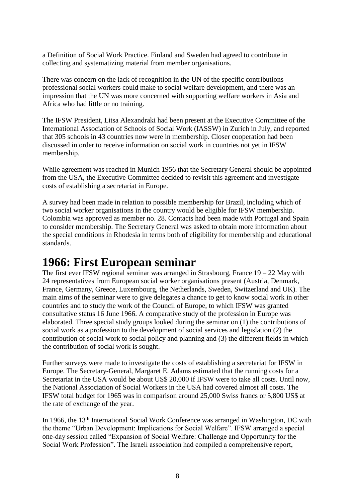a Definition of Social Work Practice. Finland and Sweden had agreed to contribute in collecting and systematizing material from member organisations.

There was concern on the lack of recognition in the UN of the specific contributions professional social workers could make to social welfare development, and there was an impression that the UN was more concerned with supporting welfare workers in Asia and Africa who had little or no training.

The IFSW President, Litsa Alexandraki had been present at the Executive Committee of the International Association of Schools of Social Work (IASSW) in Zurich in July, and reported that 305 schools in 43 countries now were in membership. Closer cooperation had been discussed in order to receive information on social work in countries not yet in IFSW membership.

While agreement was reached in Munich 1956 that the Secretary General should be appointed from the USA, the Executive Committee decided to revisit this agreement and investigate costs of establishing a secretariat in Europe.

A survey had been made in relation to possible membership for Brazil, including which of two social worker organisations in the country would be eligible for IFSW membership. Colombia was approved as member no. 28. Contacts had been made with Portugal and Spain to consider membership. The Secretary General was asked to obtain more information about the special conditions in Rhodesia in terms both of eligibility for membership and educational standards.

#### **1966: First European seminar**

The first ever IFSW regional seminar was arranged in Strasbourg, France  $19 - 22$  May with 24 representatives from European social worker organisations present (Austria, Denmark, France, Germany, Greece, Luxembourg, the Netherlands, Sweden, Switzerland and UK). The main aims of the seminar were to give delegates a chance to get to know social work in other countries and to study the work of the Council of Europe, to which IFSW was granted consultative status 16 June 1966. A comparative study of the profession in Europe was elaborated. Three special study groups looked during the seminar on (1) the contributions of social work as a profession to the development of social services and legislation (2) the contribution of social work to social policy and planning and (3) the different fields in which the contribution of social work is sought.

Further surveys were made to investigate the costs of establishing a secretariat for IFSW in Europe. The Secretary-General, Margaret E. Adams estimated that the running costs for a Secretariat in the USA would be about US\$ 20,000 if IFSW were to take all costs. Until now, the National Association of Social Workers in the USA had covered almost all costs. The IFSW total budget for 1965 was in comparison around 25,000 Swiss francs or 5,800 US\$ at the rate of exchange of the year.

In 1966, the 13<sup>th</sup> International Social Work Conference was arranged in Washington, DC with the theme "Urban Development: Implications for Social Welfare". IFSW arranged a special one-day session called "Expansion of Social Welfare: Challenge and Opportunity for the Social Work Profession". The Israeli association had compiled a comprehensive report,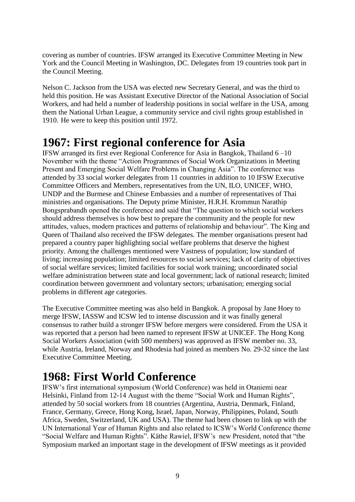covering as number of countries. IFSW arranged its Executive Committee Meeting in New York and the Council Meeting in Washington, DC. Delegates from 19 countries took part in the Council Meeting.

Nelson C. Jackson from the USA was elected new Secretary General, and was the third to held this position. He was Assistant Executive Director of the National Association of Social Workers, and had held a number of leadership positions in social welfare in the USA, among them the National Urban League, a community service and civil rights group established in 1910. He were to keep this position until 1972.

#### **1967: First regional conference for Asia**

IFSW arranged its first ever Regional Conference for Asia in Bangkok, Thailand 6 –10 November with the theme "Action Programmes of Social Work Organizations in Meeting Present and Emerging Social Welfare Problems in Changing Asia". The conference was attended by 33 social worker delegates from 11 countries in addition to 10 IFSW Executive Committee Officers and Members, representatives from the UN, ILO, UNICEF, WHO, UNDP and the Burmese and Chinese Embassies and a number of representatives of Thai ministries and organisations. The Deputy prime Minister, H.R.H. Krommun Narathip Bongsprabandh opened the conference and said that "The question to which social workers should address themselves is how best to prepare the community and the people for new attitudes, values, modern practices and patterns of relationship and behaviour". The King and Queen of Thailand also received the IFSW delegates. The member organisations present had prepared a country paper highlighting social welfare problems that deserve the highest priority. Among the challenges mentioned were Vastness of population; low standard of living; increasing population; limited resources to social services; lack of clarity of objectives of social welfare services; limited facilities for social work training; uncoordinated social welfare administration between state and local government; lack of national research; limited coordination between government and voluntary sectors; urbanisation; emerging social problems in different age categories.

The Executive Committee meeting was also held in Bangkok. A proposal by Jane Hoey to merge IFSW, IASSW and ICSW led to intense discussion and it was finally general consensus to rather build a stronger IFSW before mergers were considered. From the USA it was reported that a person had been named to represent IFSW at UNICEF. The Hong Kong Social Workers Association (with 500 members) was approved as IFSW member no. 33, while Austria, Ireland, Norway and Rhodesia had joined as members No. 29-32 since the last Executive Committee Meeting.

## **1968: First World Conference**

IFSW's first international symposium (World Conference) was held in Otaniemi near Helsinki, Finland from 12-14 August with the theme "Social Work and Human Rights", attended by 50 social workers from 18 countries (Argentina, Austria, Denmark, Finland, France, Germany, Greece, Hong Kong, Israel, Japan, Norway, Philippines, Poland, South Africa, Sweden, Switzerland, UK and USA). The theme had been chosen to link up with the UN International Year of Human Rights and also related to ICSW's World Conference theme "Social Welfare and Human Rights". Käthe Rawiel, IFSW's new President, noted that "the Symposium marked an important stage in the development of IFSW meetings as it provided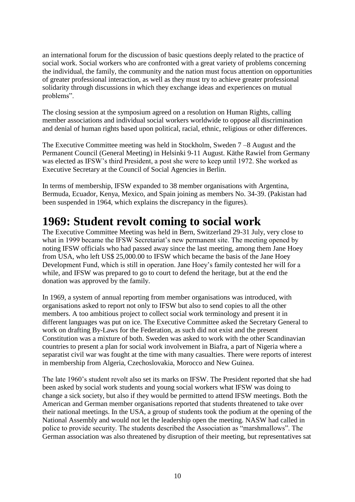an international forum for the discussion of basic questions deeply related to the practice of social work. Social workers who are confronted with a great variety of problems concerning the individual, the family, the community and the nation must focus attention on opportunities of greater professional interaction, as well as they must try to achieve greater professional solidarity through discussions in which they exchange ideas and experiences on mutual problems".

The closing session at the symposium agreed on a resolution on Human Rights, calling member associations and individual social workers worldwide to oppose all discrimination and denial of human rights based upon political, racial, ethnic, religious or other differences.

The Executive Committee meeting was held in Stockholm, Sweden 7 –8 August and the Permanent Council (General Meeting) in Helsinki 9-11 August. Käthe Rawiel from Germany was elected as IFSW's third President, a post she were to keep until 1972. She worked as Executive Secretary at the Council of Social Agencies in Berlin.

In terms of membership, IFSW expanded to 38 member organisations with Argentina, Bermuda, Ecuador, Kenya, Mexico, and Spain joining as members No. 34-39. (Pakistan had been suspended in 1964, which explains the discrepancy in the figures).

## **1969: Student revolt coming to social work**

The Executive Committee Meeting was held in Bern, Switzerland 29-31 July, very close to what in 1999 became the IFSW Secretariat's new permanent site. The meeting opened by noting IFSW officials who had passed away since the last meeting, among them Jane Hoey from USA, who left US\$ 25,000.00 to IFSW which became the basis of the Jane Hoey Development Fund, which is still in operation. Jane Hoey's family contested her will for a while, and IFSW was prepared to go to court to defend the heritage, but at the end the donation was approved by the family.

In 1969, a system of annual reporting from member organisations was introduced, with organisations asked to report not only to IFSW but also to send copies to all the other members. A too ambitious project to collect social work terminology and present it in different languages was put on ice. The Executive Committee asked the Secretary General to work on drafting By-Laws for the Federation, as such did not exist and the present Constitution was a mixture of both. Sweden was asked to work with the other Scandinavian countries to present a plan for social work involvement in Biafra, a part of Nigeria where a separatist civil war was fought at the time with many casualties. There were reports of interest in membership from Algeria, Czechoslovakia, Morocco and New Guinea.

The late 1960's student revolt also set its marks on IFSW. The President reported that she had been asked by social work students and young social workers what IFSW was doing to change a sick society, but also if they would be permitted to attend IFSW meetings. Both the American and German member organisations reported that students threatened to take over their national meetings. In the USA, a group of students took the podium at the opening of the National Assembly and would not let the leadership open the meeting. NASW had called in police to provide security. The students described the Association as "marshmallows". The German association was also threatened by disruption of their meeting, but representatives sat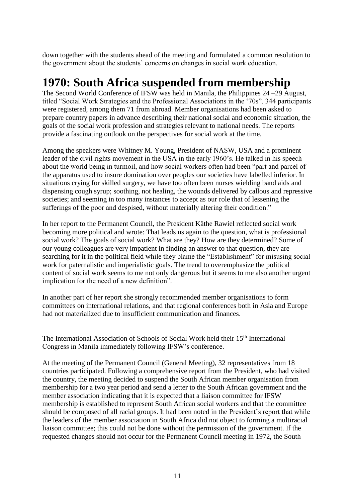down together with the students ahead of the meeting and formulated a common resolution to the government about the students' concerns on changes in social work education.

#### **1970: South Africa suspended from membership**

The Second World Conference of IFSW was held in Manila, the Philippines 24 –29 August, titled "Social Work Strategies and the Professional Associations in the '70s". 344 participants were registered, among them 71 from abroad. Member organisations had been asked to prepare country papers in advance describing their national social and economic situation, the goals of the social work profession and strategies relevant to national needs. The reports provide a fascinating outlook on the perspectives for social work at the time.

Among the speakers were Whitney M. Young, President of NASW, USA and a prominent leader of the civil rights movement in the USA in the early 1960's. He talked in his speech about the world being in turmoil, and how social workers often had been "part and parcel of the apparatus used to insure domination over peoples our societies have labelled inferior. In situations crying for skilled surgery, we have too often been nurses wielding band aids and dispensing cough syrup; soothing, not healing, the wounds delivered by callous and repressive societies; and seeming in too many instances to accept as our role that of lessening the sufferings of the poor and despised, without materially altering their condition."

In her report to the Permanent Council, the President Käthe Rawiel reflected social work becoming more political and wrote: That leads us again to the question, what is professional social work? The goals of social work? What are they? How are they determined? Some of our young colleagues are very impatient in finding an answer to that question, they are searching for it in the political field while they blame the "Establishment" for misusing social work for paternalistic and imperialistic goals. The trend to overemphasize the political content of social work seems to me not only dangerous but it seems to me also another urgent implication for the need of a new definition".

In another part of her report she strongly recommended member organisations to form committees on international relations, and that regional conferences both in Asia and Europe had not materialized due to insufficient communication and finances.

The International Association of Schools of Social Work held their 15<sup>th</sup> International Congress in Manila immediately following IFSW's conference.

At the meeting of the Permanent Council (General Meeting), 32 representatives from 18 countries participated. Following a comprehensive report from the President, who had visited the country, the meeting decided to suspend the South African member organisation from membership for a two year period and send a letter to the South African government and the member association indicating that it is expected that a liaison committee for IFSW membership is established to represent South African social workers and that the committee should be composed of all racial groups. It had been noted in the President's report that while the leaders of the member association in South Africa did not object to forming a multiracial liaison committee; this could not be done without the permission of the government. If the requested changes should not occur for the Permanent Council meeting in 1972, the South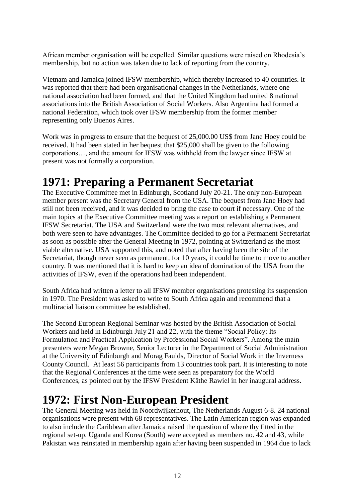African member organisation will be expelled. Similar questions were raised on Rhodesia's membership, but no action was taken due to lack of reporting from the country.

Vietnam and Jamaica joined IFSW membership, which thereby increased to 40 countries. It was reported that there had been organisational changes in the Netherlands, where one national association had been formed, and that the United Kingdom had united 8 national associations into the British Association of Social Workers. Also Argentina had formed a national Federation, which took over IFSW membership from the former member representing only Buenos Aires.

Work was in progress to ensure that the bequest of 25,000.00 US\$ from Jane Hoey could be received. It had been stated in her bequest that \$25,000 shall be given to the following corporations…, and the amount for IFSW was withheld from the lawyer since IFSW at present was not formally a corporation.

# **1971: Preparing a Permanent Secretariat**

The Executive Committee met in Edinburgh, Scotland July 20-21. The only non-European member present was the Secretary General from the USA. The bequest from Jane Hoey had still not been received, and it was decided to bring the case to court if necessary. One of the main topics at the Executive Committee meeting was a report on establishing a Permanent IFSW Secretariat. The USA and Switzerland were the two most relevant alternatives, and both were seen to have advantages. The Committee decided to go for a Permanent Secretariat as soon as possible after the General Meeting in 1972, pointing at Switzerland as the most viable alternative. USA supported this, and noted that after having been the site of the Secretariat, though never seen as permanent, for 10 years, it could be time to move to another country. It was mentioned that it is hard to keep an idea of domination of the USA from the activities of IFSW, even if the operations had been independent.

South Africa had written a letter to all IFSW member organisations protesting its suspension in 1970. The President was asked to write to South Africa again and recommend that a multiracial liaison committee be established.

The Second European Regional Seminar was hosted by the British Association of Social Workers and held in Edinburgh July 21 and 22, with the theme "Social Policy: Its Formulation and Practical Application by Professional Social Workers". Among the main presenters were Megan Browne, Senior Lecturer in the Department of Social Administration at the University of Edinburgh and Morag Faulds, Director of Social Work in the Inverness County Council. At least 56 participants from 13 countries took part. It is interesting to note that the Regional Conferences at the time were seen as preparatory for the World Conferences, as pointed out by the IFSW President Käthe Rawiel in her inaugural address.

# **1972: First Non-European President**

The General Meeting was held in Noordwijkerhout, The Netherlands August 6-8. 24 national organisations were present with 68 representatives. The Latin American region was expanded to also include the Caribbean after Jamaica raised the question of where thy fitted in the regional set-up. Uganda and Korea (South) were accepted as members no. 42 and 43, while Pakistan was reinstated in membership again after having been suspended in 1964 due to lack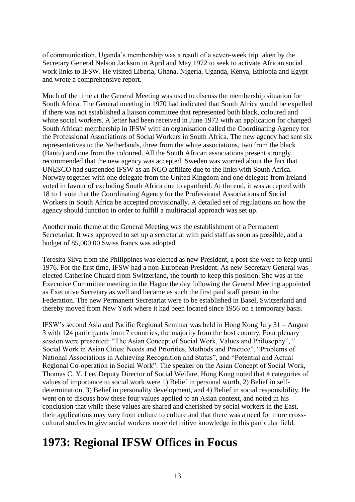of communication. Uganda's membership was a result of a seven-week trip taken by the Secretary General Nelson Jackson in April and May 1972 to seek to activate African social work links to IFSW. He visited Liberia, Ghana, Nigeria, Uganda, Kenya, Ethiopia and Egypt and wrote a comprehensive report.

Much of the time at the General Meeting was used to discuss the membership situation for South Africa. The General meeting in 1970 had indicated that South Africa would be expelled if there was not established a liaison committee that represented both black, coloured and white social workers. A letter had been received in June 1972 with an application for changed South African membership in IFSW with an organisation called the Coordinating Agency for the Professional Associations of Social Workers in South Africa. The new agency had sent six representatives to the Netherlands, three from the white associations, two from the black (Bantu) and one from the coloured. All the South African associations present strongly recommended that the new agency was accepted. Sweden was worried about the fact that UNESCO had suspended IFSW as an NGO affiliate due to the links with South Africa. Norway together with one delegate from the United Kingdom and one delegate from Ireland voted in favour of excluding South Africa due to apartheid. At the end, it was accepted with 18 to 1 vote that the Coordinating Agency for the Professional Associations of Social Workers in South Africa be accepted provisionally. A detailed set of regulations on how the agency should function in order to fulfill a multiracial approach was set up.

Another main theme at the General Meeting was the establishment of a Permanent Secretariat. It was approved to set up a secretariat with paid staff as soon as possible, and a budget of 85,000.00 Swiss francs was adopted.

Teresita Silva from the Philippines was elected as new President, a post she were to keep until 1976. For the first time, IFSW had a non-European President. As new Secretary General was elected Catherine Chuard from Switzerland, the fourth to keep this position. She was at the Executive Committee meeting in the Hague the day following the General Meeting appointed as Executive Secretary as well and became as such the first paid staff person in the Federation. The new Permanent Secretariat were to be established in Basel, Switzerland and thereby moved from New York where it had been located since 1956 on a temporary basis.

IFSW's second Asia and Pacific Regional Seminar was held in Hong Kong July 31 – August 3 with 124 participants from 7 countries, the majority from the host country. Four plenary session were presented: "The Asian Concept of Social Work, Values and Philosophy", " Social Work in Asian Cities: Needs and Priorities, Methods and Practice", "Problems of National Associations in Achieving Recognition and Status", and "Potential and Actual Regional Co-operation in Social Work". The speaker on the Asian Concept of Social Work, Thomas C. Y. Lee, Deputy Director of Social Welfare, Hong Kong noted that 4 categories of values of importance to social work were 1) Belief in personal worth, 2) Belief in selfdetermination, 3) Belief in personality development, and 4) Belief in social responsibility. He went on to discuss how these four values applied to an Asian context, and noted in his conclusion that while these values are shared and cherished by social workers in the East, their applications may vary from culture to culture and that there was a need for more crosscultural studies to give social workers more definitive knowledge in this particular field.

#### **1973: Regional IFSW Offices in Focus**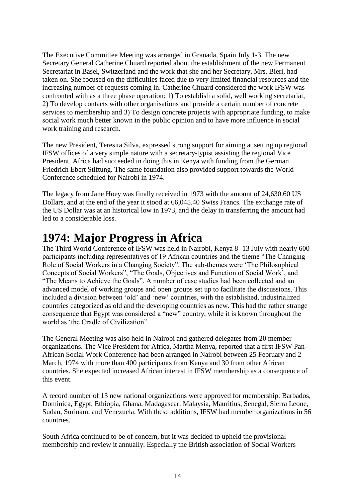The Executive Committee Meeting was arranged in Granada, Spain July 1-3. The new Secretary General Catherine Chuard reported about the establishment of the new Permanent Secretariat in Basel, Switzerland and the work that she and her Secretary, Mrs. Bieri, had taken on. She focused on the difficulties faced due to very limited financial resources and the increasing number of requests coming in. Catherine Chuard considered the work IFSW was confronted with as a three phase operation: 1) To establish a solid, well working secretariat, 2) To develop contacts with other organisations and provide a certain number of concrete services to membership and 3) To design concrete projects with appropriate funding, to make social work much better known in the public opinion and to have more influence in social work training and research.

The new President, Teresita Silva, expressed strong support for aiming at setting up regional IFSW offices of a very simple nature with a secretary-typist assisting the regional Vice President. Africa had succeeded in doing this in Kenya with funding from the German Friedrich Ebert Stiftung. The same foundation also provided support towards the World Conference scheduled for Nairobi in 1974.

The legacy from Jane Hoey was finally received in 1973 with the amount of 24,630.60 US Dollars, and at the end of the year it stood at 66,045.40 Swiss Francs. The exchange rate of the US Dollar was at an historical low in 1973, and the delay in transferring the amount had led to a considerable loss.

## **1974: Major Progress in Africa**

The Third World Conference of IFSW was held in Nairobi, Kenya 8 -13 July with nearly 600 participants including representatives of 19 African countries and the theme "The Changing Role of Social Workers in a Changing Society". The sub-themes were 'The Philosophical Concepts of Social Workers", "The Goals, Objectives and Function of Social Work', and "The Means to Achieve the Goals". A number of case studies had been collected and an advanced model of working groups and open groups set up to facilitate the discussions. This included a division between 'old' and 'new' countries, with the established, industrialized countries categorized as old and the developing countries as new. This had the rather strange consequence that Egypt was considered a "new" country, while it is known throughout the world as 'the Cradle of Civilization".

The General Meeting was also held in Nairobi and gathered delegates from 20 member organizations. The Vice President for Africa, Martha Menya, reported that a first IFSW Pan-African Social Work Conference had been arranged in Nairobi between 25 February and 2 March, 1974 with more than 400 participants from Kenya and 30 from other African countries. She expected increased African interest in IFSW membership as a consequence of this event.

A record number of 13 new national organizations were approved for membership: Barbados, Dominica, Egypt, Ethiopia, Ghana, Madagascar, Malaysia, Mauritius, Senegal, Sierra Leone, Sudan, Surinam, and Venezuela. With these additions, IFSW had member organizations in 56 countries.

South Africa continued to be of concern, but it was decided to upheld the provisional membership and review it annually. Especially the British association of Social Workers